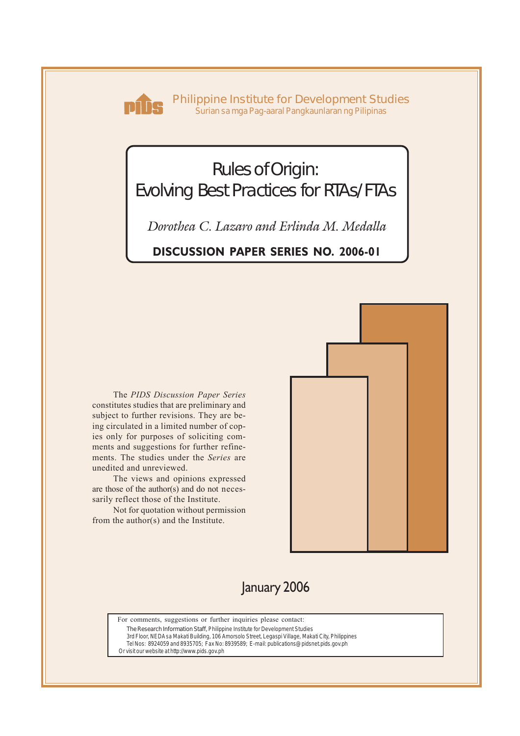

**Philippine Institute for Development Studies** *Surian sa mga Pag-aaral Pangkaunlaran ng Pilipinas*

# Rules of Origin: Evolving Best Practices for RTAs/FTAs

*Dorothea C. Lazaro and Erlinda M. Medalla*

**DISCUSSION PAPER SERIES NO. 2006-01**

The *PIDS Discussion Paper Series* constitutes studies that are preliminary and subject to further revisions. They are being circulated in a limited number of copies only for purposes of soliciting comments and suggestions for further refinements. The studies under the *Series* are unedited and unreviewed.

The views and opinions expressed are those of the author(s) and do not necessarily reflect those of the Institute.

Not for quotation without permission from the author(s) and the Institute.



## January 2006

For comments, suggestions or further inquiries please contact:

**The Research Information Staff,** Philippine Institute for Development Studies

3rd Floor, NEDA sa Makati Building, 106 Amorsolo Street, Legaspi Village, Makati City, Philippines Tel Nos: 8924059 and 8935705; Fax No: 8939589; E-mail: publications@pidsnet.pids.gov.ph

Or visit our website at http://www.pids.gov.ph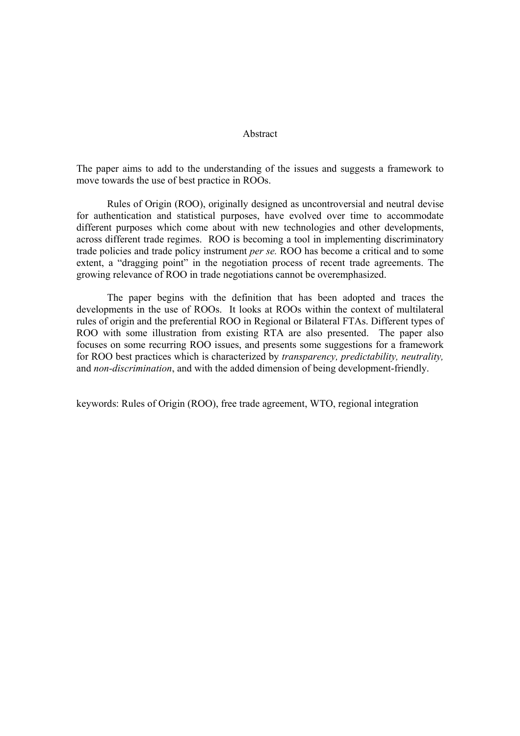#### Abstract

The paper aims to add to the understanding of the issues and suggests a framework to move towards the use of best practice in ROOs.

Rules of Origin (ROO), originally designed as uncontroversial and neutral devise for authentication and statistical purposes, have evolved over time to accommodate different purposes which come about with new technologies and other developments, across different trade regimes. ROO is becoming a tool in implementing discriminatory trade policies and trade policy instrument *per se.* ROO has become a critical and to some extent, a "dragging point" in the negotiation process of recent trade agreements. The growing relevance of ROO in trade negotiations cannot be overemphasized.

The paper begins with the definition that has been adopted and traces the developments in the use of ROOs. It looks at ROOs within the context of multilateral rules of origin and the preferential ROO in Regional or Bilateral FTAs. Different types of ROO with some illustration from existing RTA are also presented. The paper also focuses on some recurring ROO issues, and presents some suggestions for a framework for ROO best practices which is characterized by *transparency, predictability, neutrality,*  and *non-discrimination*, and with the added dimension of being development-friendly.

keywords: Rules of Origin (ROO), free trade agreement, WTO, regional integration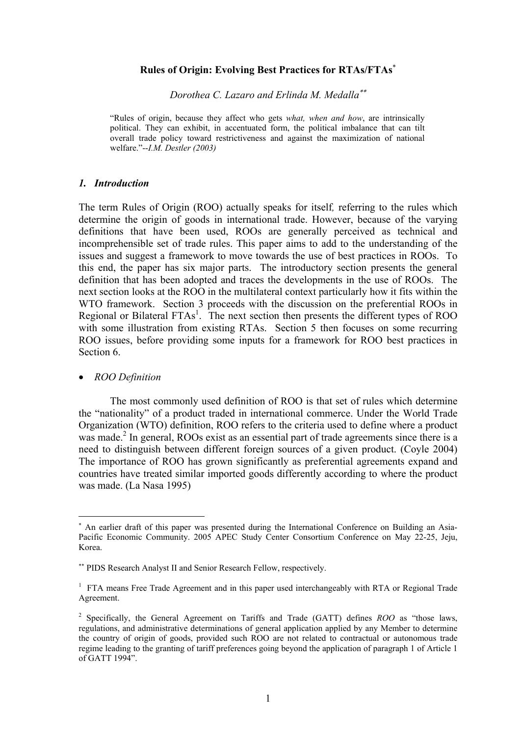## **Rules of Origin: Evolving Best Practices for RTAs/FTAs**<sup>∗</sup>

*Dorothea C. Lazaro and Erlinda M. Medalla*∗∗

"Rules of origin, because they affect who gets *what, when and how*, are intrinsically political. They can exhibit, in accentuated form, the political imbalance that can tilt overall trade policy toward restrictiveness and against the maximization of national welfare."--*I.M. Destler (2003)* 

#### *1. Introduction*

The term Rules of Origin (ROO) actually speaks for itself*,* referring to the rules which determine the origin of goods in international trade. However, because of the varying definitions that have been used, ROOs are generally perceived as technical and incomprehensible set of trade rules. This paper aims to add to the understanding of the issues and suggest a framework to move towards the use of best practices in ROOs. To this end, the paper has six major parts. The introductory section presents the general definition that has been adopted and traces the developments in the use of ROOs. The next section looks at the ROO in the multilateral context particularly how it fits within the WTO framework. Section 3 proceeds with the discussion on the preferential ROOs in Regional or Bilateral  $FTAs<sup>1</sup>$ . The next section then presents the different types of ROO with some illustration from existing RTAs. Section 5 then focuses on some recurring ROO issues, before providing some inputs for a framework for ROO best practices in Section 6.

#### • *ROO Definition*

 $\overline{a}$ 

 The most commonly used definition of ROO is that set of rules which determine the "nationality" of a product traded in international commerce. Under the World Trade Organization (WTO) definition, ROO refers to the criteria used to define where a product was made.<sup>2</sup> In general, ROOs exist as an essential part of trade agreements since there is a need to distinguish between different foreign sources of a given product. (Coyle 2004) The importance of ROO has grown significantly as preferential agreements expand and countries have treated similar imported goods differently according to where the product was made. (La Nasa 1995)

<sup>∗</sup> An earlier draft of this paper was presented during the International Conference on Building an Asia-Pacific Economic Community. 2005 APEC Study Center Consortium Conference on May 22-25, Jeju, Korea.

<sup>∗∗</sup> PIDS Research Analyst II and Senior Research Fellow, respectively.

<sup>&</sup>lt;sup>1</sup> FTA means Free Trade Agreement and in this paper used interchangeably with RTA or Regional Trade Agreement.

<sup>2</sup> Specifically, the General Agreement on Tariffs and Trade (GATT) defines *ROO* as "those laws, regulations, and administrative determinations of general application applied by any Member to determine the country of origin of goods, provided such ROO are not related to contractual or autonomous trade regime leading to the granting of tariff preferences going beyond the application of paragraph 1 of Article 1 of GATT 1994".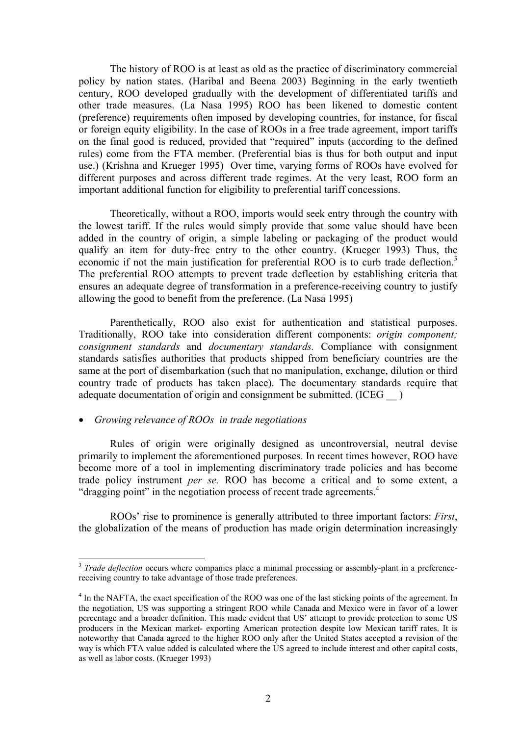The history of ROO is at least as old as the practice of discriminatory commercial policy by nation states. (Haribal and Beena 2003) Beginning in the early twentieth century, ROO developed gradually with the development of differentiated tariffs and other trade measures. (La Nasa 1995) ROO has been likened to domestic content (preference) requirements often imposed by developing countries, for instance, for fiscal or foreign equity eligibility. In the case of ROOs in a free trade agreement, import tariffs on the final good is reduced, provided that "required" inputs (according to the defined rules) come from the FTA member. (Preferential bias is thus for both output and input use.) (Krishna and Krueger 1995) Over time, varying forms of ROOs have evolved for different purposes and across different trade regimes. At the very least, ROO form an important additional function for eligibility to preferential tariff concessions.

Theoretically, without a ROO, imports would seek entry through the country with the lowest tariff. If the rules would simply provide that some value should have been added in the country of origin, a simple labeling or packaging of the product would qualify an item for duty-free entry to the other country. (Krueger 1993) Thus, the economic if not the main justification for preferential ROO is to curb trade deflection.<sup>3</sup> The preferential ROO attempts to prevent trade deflection by establishing criteria that ensures an adequate degree of transformation in a preference-receiving country to justify allowing the good to benefit from the preference. (La Nasa 1995)

Parenthetically, ROO also exist for authentication and statistical purposes. Traditionally, ROO take into consideration different components: *origin component; consignment standards* and *documentary standards.* Compliance with consignment standards satisfies authorities that products shipped from beneficiary countries are the same at the port of disembarkation (such that no manipulation, exchange, dilution or third country trade of products has taken place). The documentary standards require that adequate documentation of origin and consignment be submitted. (ICEG  $\qquad$  )

#### • *Growing relevance of ROOs in trade negotiations*

 $\overline{a}$ 

Rules of origin were originally designed as uncontroversial, neutral devise primarily to implement the aforementioned purposes. In recent times however, ROO have become more of a tool in implementing discriminatory trade policies and has become trade policy instrument *per se.* ROO has become a critical and to some extent, a "dragging point" in the negotiation process of recent trade agreements.<sup>4</sup>

ROOs' rise to prominence is generally attributed to three important factors: *First*, the globalization of the means of production has made origin determination increasingly

<sup>&</sup>lt;sup>3</sup> *Trade deflection* occurs where companies place a minimal processing or assembly-plant in a preferencereceiving country to take advantage of those trade preferences.

<sup>&</sup>lt;sup>4</sup> In the NAFTA, the exact specification of the ROO was one of the last sticking points of the agreement. In the negotiation, US was supporting a stringent ROO while Canada and Mexico were in favor of a lower percentage and a broader definition. This made evident that US' attempt to provide protection to some US producers in the Mexican market- exporting American protection despite low Mexican tariff rates. It is noteworthy that Canada agreed to the higher ROO only after the United States accepted a revision of the way is which FTA value added is calculated where the US agreed to include interest and other capital costs, as well as labor costs. (Krueger 1993)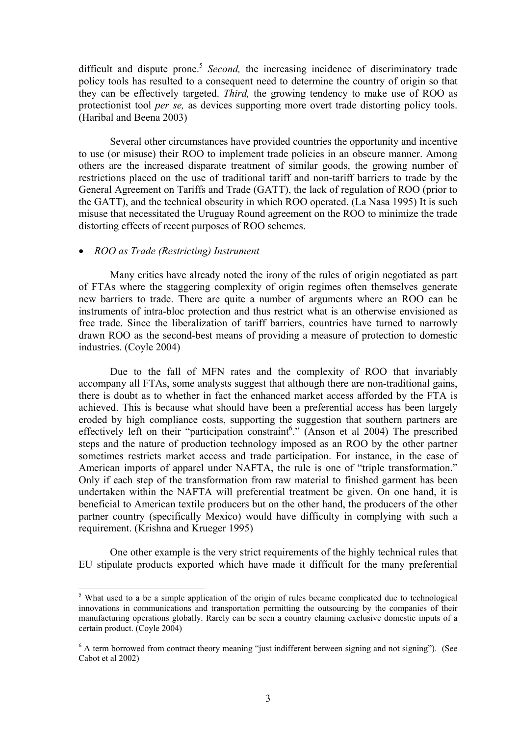difficult and dispute prone.<sup>5</sup> *Second*, the increasing incidence of discriminatory trade policy tools has resulted to a consequent need to determine the country of origin so that they can be effectively targeted. *Third,* the growing tendency to make use of ROO as protectionist tool *per se,* as devices supporting more overt trade distorting policy tools. (Haribal and Beena 2003)

Several other circumstances have provided countries the opportunity and incentive to use (or misuse) their ROO to implement trade policies in an obscure manner. Among others are the increased disparate treatment of similar goods, the growing number of restrictions placed on the use of traditional tariff and non-tariff barriers to trade by the General Agreement on Tariffs and Trade (GATT), the lack of regulation of ROO (prior to the GATT), and the technical obscurity in which ROO operated. (La Nasa 1995) It is such misuse that necessitated the Uruguay Round agreement on the ROO to minimize the trade distorting effects of recent purposes of ROO schemes.

#### • *ROO as Trade (Restricting) Instrument*

 $\overline{a}$ 

Many critics have already noted the irony of the rules of origin negotiated as part of FTAs where the staggering complexity of origin regimes often themselves generate new barriers to trade. There are quite a number of arguments where an ROO can be instruments of intra-bloc protection and thus restrict what is an otherwise envisioned as free trade. Since the liberalization of tariff barriers, countries have turned to narrowly drawn ROO as the second-best means of providing a measure of protection to domestic industries. (Coyle 2004)

Due to the fall of MFN rates and the complexity of ROO that invariably accompany all FTAs, some analysts suggest that although there are non-traditional gains, there is doubt as to whether in fact the enhanced market access afforded by the FTA is achieved. This is because what should have been a preferential access has been largely eroded by high compliance costs, supporting the suggestion that southern partners are effectively left on their "participation constraint<sup>6</sup>." (Anson et al 2004) The prescribed steps and the nature of production technology imposed as an ROO by the other partner sometimes restricts market access and trade participation. For instance, in the case of American imports of apparel under NAFTA, the rule is one of "triple transformation." Only if each step of the transformation from raw material to finished garment has been undertaken within the NAFTA will preferential treatment be given. On one hand, it is beneficial to American textile producers but on the other hand, the producers of the other partner country (specifically Mexico) would have difficulty in complying with such a requirement. (Krishna and Krueger 1995)

 One other example is the very strict requirements of the highly technical rules that EU stipulate products exported which have made it difficult for the many preferential

<sup>&</sup>lt;sup>5</sup> What used to a be a simple application of the origin of rules became complicated due to technological innovations in communications and transportation permitting the outsourcing by the companies of their manufacturing operations globally. Rarely can be seen a country claiming exclusive domestic inputs of a certain product. (Coyle 2004)

<sup>&</sup>lt;sup>6</sup> A term borrowed from contract theory meaning "just indifferent between signing and not signing"). (See Cabot et al 2002)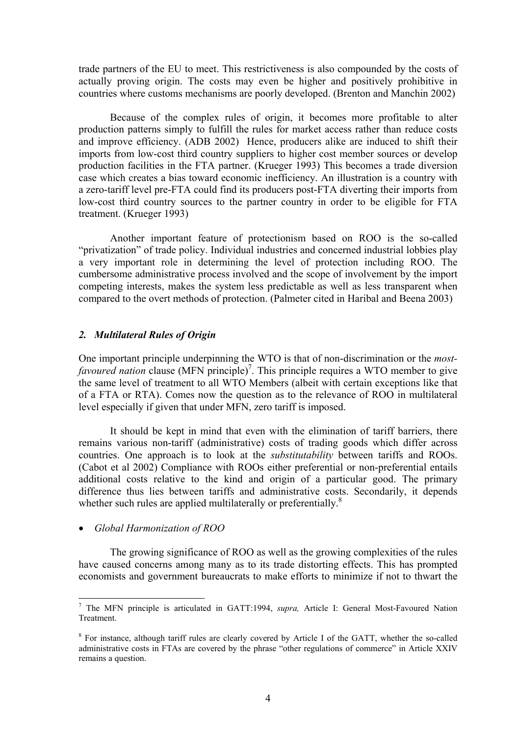trade partners of the EU to meet. This restrictiveness is also compounded by the costs of actually proving origin. The costs may even be higher and positively prohibitive in countries where customs mechanisms are poorly developed. (Brenton and Manchin 2002)

Because of the complex rules of origin, it becomes more profitable to alter production patterns simply to fulfill the rules for market access rather than reduce costs and improve efficiency. (ADB 2002) Hence, producers alike are induced to shift their imports from low-cost third country suppliers to higher cost member sources or develop production facilities in the FTA partner. (Krueger 1993) This becomes a trade diversion case which creates a bias toward economic inefficiency. An illustration is a country with a zero-tariff level pre-FTA could find its producers post-FTA diverting their imports from low-cost third country sources to the partner country in order to be eligible for FTA treatment. (Krueger 1993)

Another important feature of protectionism based on ROO is the so-called "privatization" of trade policy. Individual industries and concerned industrial lobbies play a very important role in determining the level of protection including ROO. The cumbersome administrative process involved and the scope of involvement by the import competing interests, makes the system less predictable as well as less transparent when compared to the overt methods of protection. (Palmeter cited in Haribal and Beena 2003)

## *2. Multilateral Rules of Origin*

One important principle underpinning the WTO is that of non-discrimination or the *mostfavoured nation* clause (MFN principle)<sup>7</sup>. This principle requires a WTO member to give the same level of treatment to all WTO Members (albeit with certain exceptions like that of a FTA or RTA). Comes now the question as to the relevance of ROO in multilateral level especially if given that under MFN, zero tariff is imposed.

It should be kept in mind that even with the elimination of tariff barriers, there remains various non-tariff (administrative) costs of trading goods which differ across countries. One approach is to look at the *substitutability* between tariffs and ROOs. (Cabot et al 2002) Compliance with ROOs either preferential or non-preferential entails additional costs relative to the kind and origin of a particular good. The primary difference thus lies between tariffs and administrative costs. Secondarily, it depends whether such rules are applied multilaterally or preferentially. $8$ 

• *Global Harmonization of ROO* 

 $\overline{a}$ 

The growing significance of ROO as well as the growing complexities of the rules have caused concerns among many as to its trade distorting effects. This has prompted economists and government bureaucrats to make efforts to minimize if not to thwart the

<sup>7</sup> The MFN principle is articulated in GATT:1994, *supra,* Article I: General Most-Favoured Nation Treatment.

<sup>&</sup>lt;sup>8</sup> For instance, although tariff rules are clearly covered by Article I of the GATT, whether the so-called administrative costs in FTAs are covered by the phrase "other regulations of commerce" in Article XXIV remains a question.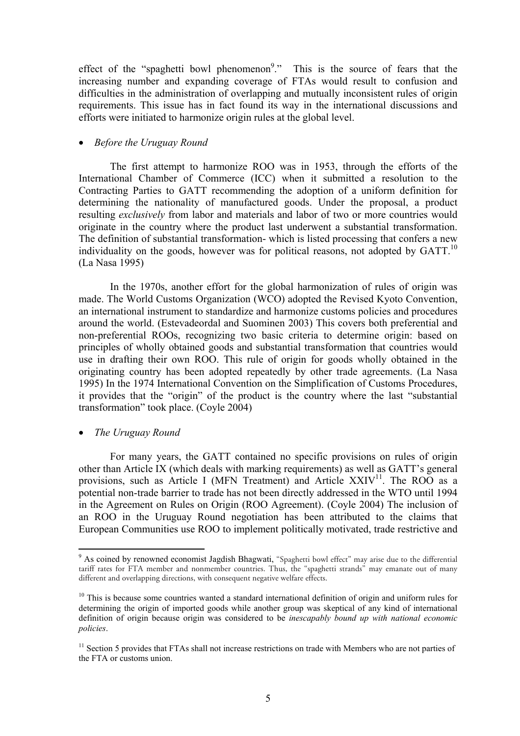effect of the "spaghetti bowl phenomenon<sup>9</sup>." This is the source of fears that the increasing number and expanding coverage of FTAs would result to confusion and difficulties in the administration of overlapping and mutually inconsistent rules of origin requirements. This issue has in fact found its way in the international discussions and efforts were initiated to harmonize origin rules at the global level.

## • *Before the Uruguay Round*

 The first attempt to harmonize ROO was in 1953, through the efforts of the International Chamber of Commerce (ICC) when it submitted a resolution to the Contracting Parties to GATT recommending the adoption of a uniform definition for determining the nationality of manufactured goods. Under the proposal, a product resulting *exclusively* from labor and materials and labor of two or more countries would originate in the country where the product last underwent a substantial transformation. The definition of substantial transformation- which is listed processing that confers a new individuality on the goods, however was for political reasons, not adopted by GATT.<sup>10</sup> (La Nasa 1995)

In the 1970s, another effort for the global harmonization of rules of origin was made. The World Customs Organization (WCO) adopted the Revised Kyoto Convention, an international instrument to standardize and harmonize customs policies and procedures around the world. (Estevadeordal and Suominen 2003) This covers both preferential and non-preferential ROOs, recognizing two basic criteria to determine origin: based on principles of wholly obtained goods and substantial transformation that countries would use in drafting their own ROO. This rule of origin for goods wholly obtained in the originating country has been adopted repeatedly by other trade agreements. (La Nasa 1995) In the 1974 International Convention on the Simplification of Customs Procedures, it provides that the "origin" of the product is the country where the last "substantial transformation" took place. (Coyle 2004)

• *The Uruguay Round* 

 $\overline{a}$ 

For many years, the GATT contained no specific provisions on rules of origin other than Article IX (which deals with marking requirements) as well as GATT's general provisions, such as Article I (MFN Treatment) and Article  $XXIV<sup>11</sup>$ . The ROO as a potential non-trade barrier to trade has not been directly addressed in the WTO until 1994 in the Agreement on Rules on Origin (ROO Agreement). (Coyle 2004) The inclusion of an ROO in the Uruguay Round negotiation has been attributed to the claims that European Communities use ROO to implement politically motivated, trade restrictive and

<sup>&</sup>lt;sup>9</sup> As coined by renowned economist Jagdish Bhagwati, "Spaghetti bowl effect" may arise due to the differential tariff rates for FTA member and nonmember countries. Thus, the ''spaghetti strands'' may emanate out of many different and overlapping directions, with consequent negative welfare effects.

<sup>&</sup>lt;sup>10</sup> This is because some countries wanted a standard international definition of origin and uniform rules for determining the origin of imported goods while another group was skeptical of any kind of international definition of origin because origin was considered to be *inescapably bound up with national economic policies*.

 $11$  Section 5 provides that FTAs shall not increase restrictions on trade with Members who are not parties of the FTA or customs union.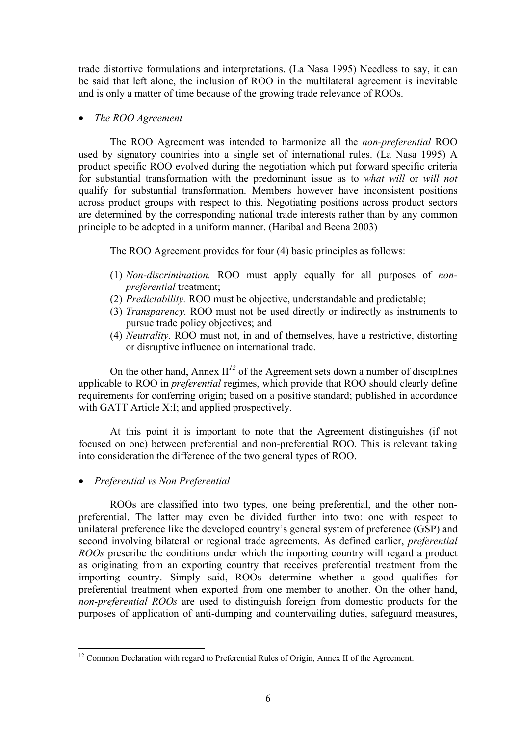trade distortive formulations and interpretations. (La Nasa 1995) Needless to say, it can be said that left alone, the inclusion of ROO in the multilateral agreement is inevitable and is only a matter of time because of the growing trade relevance of ROOs.

## • *The ROO Agreement*

The ROO Agreement was intended to harmonize all the *non-preferential* ROO used by signatory countries into a single set of international rules. (La Nasa 1995) A product specific ROO evolved during the negotiation which put forward specific criteria for substantial transformation with the predominant issue as to *what will* or *will not*  qualify for substantial transformation. Members however have inconsistent positions across product groups with respect to this. Negotiating positions across product sectors are determined by the corresponding national trade interests rather than by any common principle to be adopted in a uniform manner. (Haribal and Beena 2003)

The ROO Agreement provides for four (4) basic principles as follows:

- (1) *Non-discrimination.* ROO must apply equally for all purposes of *nonpreferential* treatment;
- (2) *Predictability.* ROO must be objective, understandable and predictable;
- (3) *Transparency.* ROO must not be used directly or indirectly as instruments to pursue trade policy objectives; and
- (4) *Neutrality.* ROO must not, in and of themselves, have a restrictive, distorting or disruptive influence on international trade.

On the other hand, Annex  $II^{12}$  of the Agreement sets down a number of disciplines applicable to ROO in *preferential* regimes, which provide that ROO should clearly define requirements for conferring origin; based on a positive standard; published in accordance with GATT Article X:I; and applied prospectively.

At this point it is important to note that the Agreement distinguishes (if not focused on one) between preferential and non-preferential ROO. This is relevant taking into consideration the difference of the two general types of ROO.

• *Preferential vs Non Preferential* 

 $\overline{a}$ 

ROOs are classified into two types, one being preferential, and the other nonpreferential. The latter may even be divided further into two: one with respect to unilateral preference like the developed country's general system of preference (GSP) and second involving bilateral or regional trade agreements. As defined earlier, *preferential ROOs* prescribe the conditions under which the importing country will regard a product as originating from an exporting country that receives preferential treatment from the importing country. Simply said, ROOs determine whether a good qualifies for preferential treatment when exported from one member to another. On the other hand, *non-preferential ROOs* are used to distinguish foreign from domestic products for the purposes of application of anti-dumping and countervailing duties, safeguard measures,

 $12$  Common Declaration with regard to Preferential Rules of Origin, Annex II of the Agreement.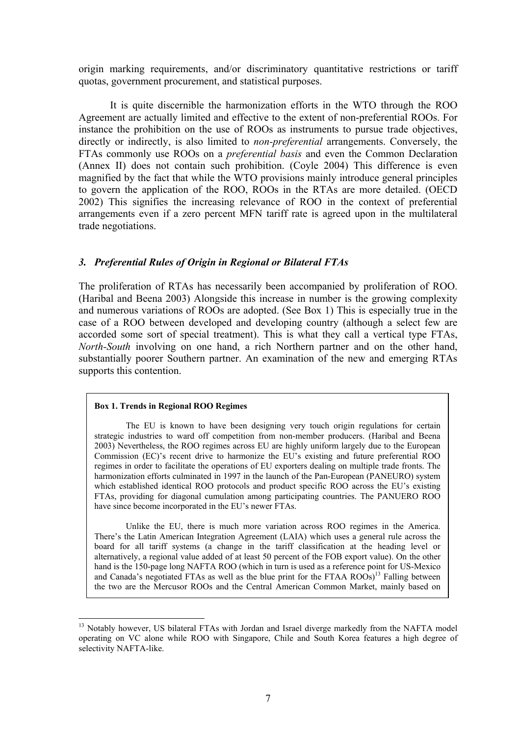origin marking requirements, and/or discriminatory quantitative restrictions or tariff quotas, government procurement, and statistical purposes.

It is quite discernible the harmonization efforts in the WTO through the ROO Agreement are actually limited and effective to the extent of non-preferential ROOs. For instance the prohibition on the use of ROOs as instruments to pursue trade objectives, directly or indirectly, is also limited to *non-preferential* arrangements. Conversely, the FTAs commonly use ROOs on a *preferential basis* and even the Common Declaration (Annex II) does not contain such prohibition. (Coyle 2004) This difference is even magnified by the fact that while the WTO provisions mainly introduce general principles to govern the application of the ROO, ROOs in the RTAs are more detailed. (OECD 2002) This signifies the increasing relevance of ROO in the context of preferential arrangements even if a zero percent MFN tariff rate is agreed upon in the multilateral trade negotiations.

## *3. Preferential Rules of Origin in Regional or Bilateral FTAs*

The proliferation of RTAs has necessarily been accompanied by proliferation of ROO. (Haribal and Beena 2003) Alongside this increase in number is the growing complexity and numerous variations of ROOs are adopted. (See Box 1) This is especially true in the case of a ROO between developed and developing country (although a select few are accorded some sort of special treatment). This is what they call a vertical type FTAs, *North-South* involving on one hand, a rich Northern partner and on the other hand, substantially poorer Southern partner. An examination of the new and emerging RTAs supports this contention.

#### **Box 1. Trends in Regional ROO Regimes**

The EU is known to have been designing very touch origin regulations for certain strategic industries to ward off competition from non-member producers. (Haribal and Beena 2003) Nevertheless, the ROO regimes across EU are highly uniform largely due to the European Commission (EC)'s recent drive to harmonize the EU's existing and future preferential ROO regimes in order to facilitate the operations of EU exporters dealing on multiple trade fronts. The harmonization efforts culminated in 1997 in the launch of the Pan-European (PANEURO) system which established identical ROO protocols and product specific ROO across the EU's existing FTAs, providing for diagonal cumulation among participating countries. The PANUERO ROO have since become incorporated in the EU's newer FTAs.

Unlike the EU, there is much more variation across ROO regimes in the America. There's the Latin American Integration Agreement (LAIA) which uses a general rule across the board for all tariff systems (a change in the tariff classification at the heading level or alternatively, a regional value added of at least 50 percent of the FOB export value). On the other hand is the 150-page long NAFTA ROO (which in turn is used as a reference point for US-Mexico and Canada's negotiated FTAs as well as the blue print for the FTAA  $ROOs<sup>13</sup>$  Falling between the two are the Mercusor ROOs and the Central American Common Market, mainly based on

 $\overline{a}$ <sup>13</sup> Notably however, US bilateral FTAs with Jordan and Israel diverge markedly from the NAFTA model operating on VC alone while ROO with Singapore, Chile and South Korea features a high degree of selectivity NAFTA-like.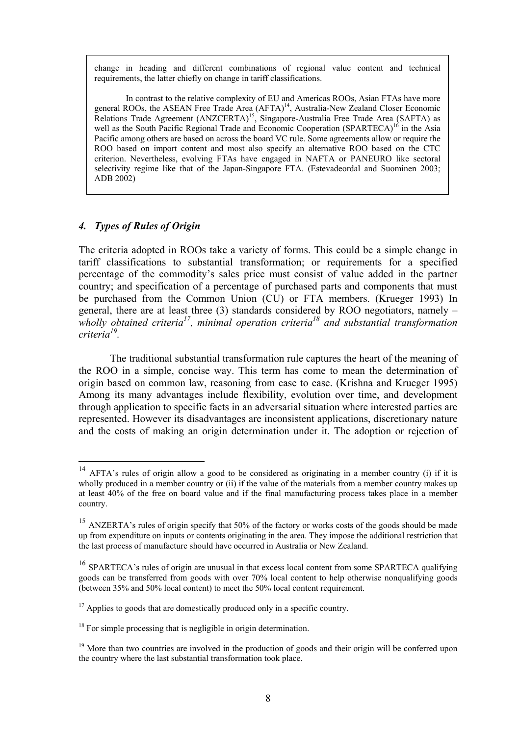change in heading and different combinations of regional value content and technical requirements, the latter chiefly on change in tariff classifications.

In contrast to the relative complexity of EU and Americas ROOs, Asian FTAs have more general ROOs, the ASEAN Free Trade Area (AFTA)<sup>14</sup>, Australia-New Zealand Closer Economic Relations Trade Agreement (ANZCERTA)<sup>15</sup>, Singapore-Australia Free Trade Area (SAFTA) as well as the South Pacific Regional Trade and Economic Cooperation (SPARTECA)<sup>16</sup> in the Asia Pacific among others are based on across the board VC rule. Some agreements allow or require the ROO based on import content and most also specify an alternative ROO based on the CTC criterion. Nevertheless, evolving FTAs have engaged in NAFTA or PANEURO like sectoral selectivity regime like that of the Japan-Singapore FTA. (Estevadeordal and Suominen 2003; ADB 2002)

## *4. Types of Rules of Origin*

 $\overline{a}$ 

The criteria adopted in ROOs take a variety of forms. This could be a simple change in tariff classifications to substantial transformation; or requirements for a specified percentage of the commodity's sales price must consist of value added in the partner country; and specification of a percentage of purchased parts and components that must be purchased from the Common Union (CU) or FTA members. (Krueger 1993) In general, there are at least three  $(3)$  standards considered by ROO negotiators, namely – wholly obtained criteria<sup>17</sup>, minimal operation criteria<sup>18</sup> and substantial transformation *criteria19.* 

The traditional substantial transformation rule captures the heart of the meaning of the ROO in a simple, concise way. This term has come to mean the determination of origin based on common law, reasoning from case to case. (Krishna and Krueger 1995) Among its many advantages include flexibility, evolution over time, and development through application to specific facts in an adversarial situation where interested parties are represented. However its disadvantages are inconsistent applications, discretionary nature and the costs of making an origin determination under it. The adoption or rejection of

<sup>&</sup>lt;sup>14</sup> AFTA's rules of origin allow a good to be considered as originating in a member country (i) if it is wholly produced in a member country or (ii) if the value of the materials from a member country makes up at least 40% of the free on board value and if the final manufacturing process takes place in a member country.

<sup>&</sup>lt;sup>15</sup> ANZERTA's rules of origin specify that 50% of the factory or works costs of the goods should be made up from expenditure on inputs or contents originating in the area. They impose the additional restriction that the last process of manufacture should have occurred in Australia or New Zealand.

<sup>&</sup>lt;sup>16</sup> SPARTECA's rules of origin are unusual in that excess local content from some SPARTECA qualifying goods can be transferred from goods with over 70% local content to help otherwise nonqualifying goods (between 35% and 50% local content) to meet the 50% local content requirement.

 $17$  Applies to goods that are domestically produced only in a specific country.

<sup>&</sup>lt;sup>18</sup> For simple processing that is negligible in origin determination.

<sup>&</sup>lt;sup>19</sup> More than two countries are involved in the production of goods and their origin will be conferred upon the country where the last substantial transformation took place.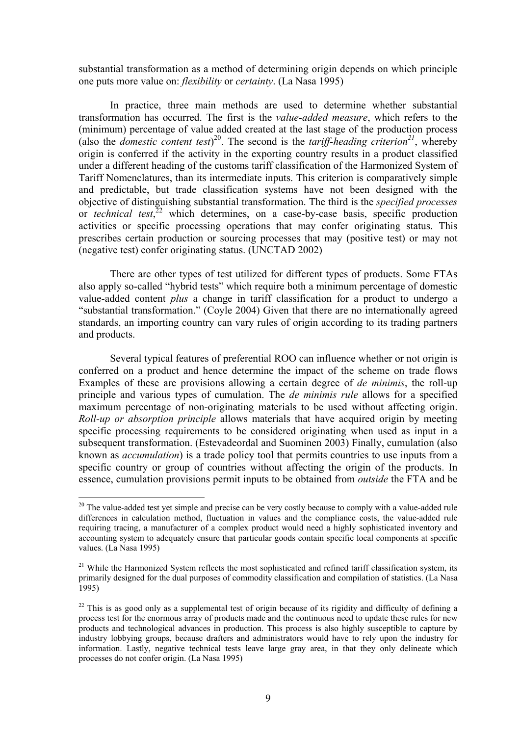substantial transformation as a method of determining origin depends on which principle one puts more value on: *flexibility* or *certainty*. (La Nasa 1995)

In practice, three main methods are used to determine whether substantial transformation has occurred. The first is the *value-added measure*, which refers to the (minimum) percentage of value added created at the last stage of the production process (also the *domestic content test*)<sup>20</sup>. The second is the *tariff-heading criterion*<sup>21</sup>, whereby origin is conferred if the activity in the exporting country results in a product classified under a different heading of the customs tariff classification of the Harmonized System of Tariff Nomenclatures, than its intermediate inputs. This criterion is comparatively simple and predictable, but trade classification systems have not been designed with the objective of distinguishing substantial transformation. The third is the *specified processes* or *technical test*, 22 which determines, on a case-by-case basis, specific production activities or specific processing operations that may confer originating status. This prescribes certain production or sourcing processes that may (positive test) or may not (negative test) confer originating status. (UNCTAD 2002)

There are other types of test utilized for different types of products. Some FTAs also apply so-called "hybrid tests" which require both a minimum percentage of domestic value-added content *plus* a change in tariff classification for a product to undergo a "substantial transformation." (Coyle 2004) Given that there are no internationally agreed standards, an importing country can vary rules of origin according to its trading partners and products.

Several typical features of preferential ROO can influence whether or not origin is conferred on a product and hence determine the impact of the scheme on trade flows Examples of these are provisions allowing a certain degree of *de minimis*, the roll-up principle and various types of cumulation. The *de minimis rule* allows for a specified maximum percentage of non-originating materials to be used without affecting origin. *Roll-up or absorption principle* allows materials that have acquired origin by meeting specific processing requirements to be considered originating when used as input in a subsequent transformation. (Estevadeordal and Suominen 2003) Finally, cumulation (also known as *accumulation*) is a trade policy tool that permits countries to use inputs from a specific country or group of countries without affecting the origin of the products. In essence, cumulation provisions permit inputs to be obtained from *outside* the FTA and be

 $\overline{a}$ 

<sup>&</sup>lt;sup>20</sup> The value-added test yet simple and precise can be very costly because to comply with a value-added rule differences in calculation method, fluctuation in values and the compliance costs, the value-added rule requiring tracing, a manufacturer of a complex product would need a highly sophisticated inventory and accounting system to adequately ensure that particular goods contain specific local components at specific values. (La Nasa 1995)

<sup>&</sup>lt;sup>21</sup> While the Harmonized System reflects the most sophisticated and refined tariff classification system, its primarily designed for the dual purposes of commodity classification and compilation of statistics. (La Nasa 1995)

<sup>&</sup>lt;sup>22</sup> This is as good only as a supplemental test of origin because of its rigidity and difficulty of defining a process test for the enormous array of products made and the continuous need to update these rules for new products and technological advances in production. This process is also highly susceptible to capture by industry lobbying groups, because drafters and administrators would have to rely upon the industry for information. Lastly, negative technical tests leave large gray area, in that they only delineate which processes do not confer origin. (La Nasa 1995)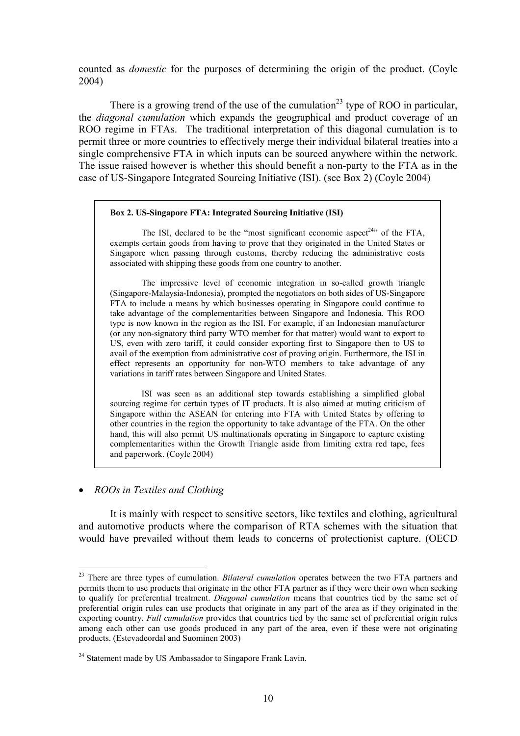counted as *domestic* for the purposes of determining the origin of the product. (Coyle 2004)

There is a growing trend of the use of the cumulation<sup>23</sup> type of ROO in particular, the *diagonal cumulation* which expands the geographical and product coverage of an ROO regime in FTAs. The traditional interpretation of this diagonal cumulation is to permit three or more countries to effectively merge their individual bilateral treaties into a single comprehensive FTA in which inputs can be sourced anywhere within the network. The issue raised however is whether this should benefit a non-party to the FTA as in the case of US-Singapore Integrated Sourcing Initiative (ISI). (see Box 2) (Coyle 2004)

#### **Box 2. US-Singapore FTA: Integrated Sourcing Initiative (ISI)**

The ISI, declared to be the "most significant economic aspect<sup>24</sup>" of the FTA, exempts certain goods from having to prove that they originated in the United States or Singapore when passing through customs, thereby reducing the administrative costs associated with shipping these goods from one country to another.

The impressive level of economic integration in so-called growth triangle (Singapore-Malaysia-Indonesia), prompted the negotiators on both sides of US-Singapore FTA to include a means by which businesses operating in Singapore could continue to take advantage of the complementarities between Singapore and Indonesia. This ROO type is now known in the region as the ISI. For example, if an Indonesian manufacturer (or any non-signatory third party WTO member for that matter) would want to export to US, even with zero tariff, it could consider exporting first to Singapore then to US to avail of the exemption from administrative cost of proving origin. Furthermore, the ISI in effect represents an opportunity for non-WTO members to take advantage of any variations in tariff rates between Singapore and United States.

 ISI was seen as an additional step towards establishing a simplified global sourcing regime for certain types of IT products. It is also aimed at muting criticism of Singapore within the ASEAN for entering into FTA with United States by offering to other countries in the region the opportunity to take advantage of the FTA. On the other hand, this will also permit US multinationals operating in Singapore to capture existing complementarities within the Growth Triangle aside from limiting extra red tape, fees and paperwork. (Coyle 2004)

#### • *ROOs in Textiles and Clothing*

 $\overline{a}$ 

It is mainly with respect to sensitive sectors, like textiles and clothing, agricultural and automotive products where the comparison of RTA schemes with the situation that would have prevailed without them leads to concerns of protectionist capture. (OECD

<sup>23</sup> There are three types of cumulation. *Bilateral cumulation* operates between the two FTA partners and permits them to use products that originate in the other FTA partner as if they were their own when seeking to qualify for preferential treatment. *Diagonal cumulation* means that countries tied by the same set of preferential origin rules can use products that originate in any part of the area as if they originated in the exporting country. *Full cumulation* provides that countries tied by the same set of preferential origin rules among each other can use goods produced in any part of the area, even if these were not originating products. (Estevadeordal and Suominen 2003)

<sup>&</sup>lt;sup>24</sup> Statement made by US Ambassador to Singapore Frank Lavin.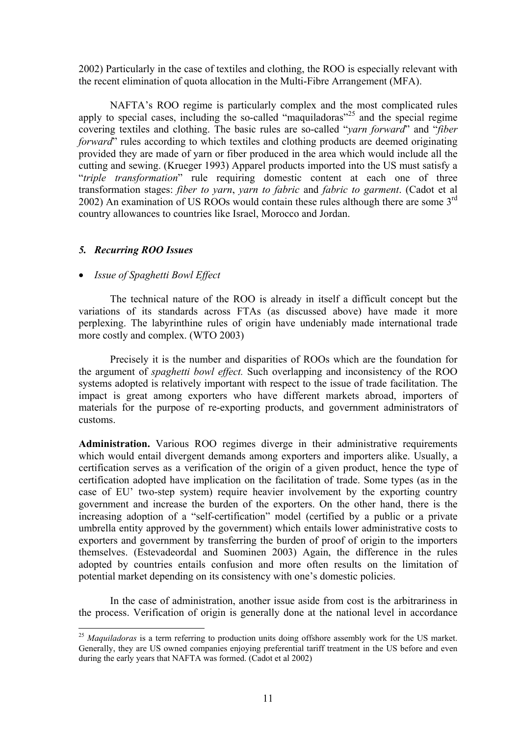2002) Particularly in the case of textiles and clothing, the ROO is especially relevant with the recent elimination of quota allocation in the Multi-Fibre Arrangement (MFA).

NAFTA's ROO regime is particularly complex and the most complicated rules apply to special cases, including the so-called "maquiladoras"<sup>25</sup> and the special regime covering textiles and clothing. The basic rules are so-called "*yarn forward*" and "*fiber forward*" rules according to which textiles and clothing products are deemed originating provided they are made of yarn or fiber produced in the area which would include all the cutting and sewing. (Krueger 1993) Apparel products imported into the US must satisfy a "*triple transformation*" rule requiring domestic content at each one of three transformation stages: *fiber to yarn*, *yarn to fabric* and *fabric to garment*. (Cadot et al 2002) An examination of US ROOs would contain these rules although there are some 3rd country allowances to countries like Israel, Morocco and Jordan.

## *5. Recurring ROO Issues*

 $\overline{a}$ 

## • *Issue of Spaghetti Bowl Effect*

The technical nature of the ROO is already in itself a difficult concept but the variations of its standards across FTAs (as discussed above) have made it more perplexing. The labyrinthine rules of origin have undeniably made international trade more costly and complex. (WTO 2003)

Precisely it is the number and disparities of ROOs which are the foundation for the argument of *spaghetti bowl effect.* Such overlapping and inconsistency of the ROO systems adopted is relatively important with respect to the issue of trade facilitation. The impact is great among exporters who have different markets abroad, importers of materials for the purpose of re-exporting products, and government administrators of customs.

**Administration.** Various ROO regimes diverge in their administrative requirements which would entail divergent demands among exporters and importers alike. Usually, a certification serves as a verification of the origin of a given product, hence the type of certification adopted have implication on the facilitation of trade. Some types (as in the case of EU' two-step system) require heavier involvement by the exporting country government and increase the burden of the exporters. On the other hand, there is the increasing adoption of a "self-certification" model (certified by a public or a private umbrella entity approved by the government) which entails lower administrative costs to exporters and government by transferring the burden of proof of origin to the importers themselves. (Estevadeordal and Suominen 2003) Again, the difference in the rules adopted by countries entails confusion and more often results on the limitation of potential market depending on its consistency with one's domestic policies.

In the case of administration, another issue aside from cost is the arbitrariness in the process. Verification of origin is generally done at the national level in accordance

<sup>&</sup>lt;sup>25</sup> Maquiladoras is a term referring to production units doing offshore assembly work for the US market. Generally, they are US owned companies enjoying preferential tariff treatment in the US before and even during the early years that NAFTA was formed. (Cadot et al 2002)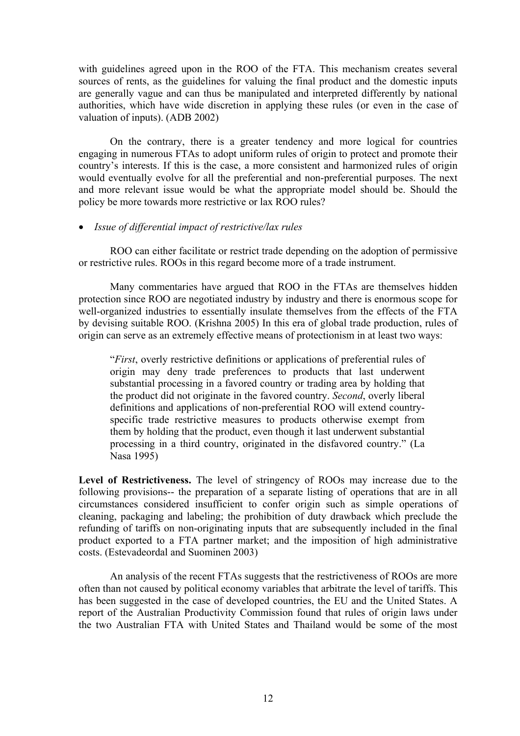with guidelines agreed upon in the ROO of the FTA. This mechanism creates several sources of rents, as the guidelines for valuing the final product and the domestic inputs are generally vague and can thus be manipulated and interpreted differently by national authorities, which have wide discretion in applying these rules (or even in the case of valuation of inputs). (ADB 2002)

On the contrary, there is a greater tendency and more logical for countries engaging in numerous FTAs to adopt uniform rules of origin to protect and promote their country's interests. If this is the case, a more consistent and harmonized rules of origin would eventually evolve for all the preferential and non-preferential purposes. The next and more relevant issue would be what the appropriate model should be. Should the policy be more towards more restrictive or lax ROO rules?

## • *Issue of differential impact of restrictive/lax rules*

ROO can either facilitate or restrict trade depending on the adoption of permissive or restrictive rules. ROOs in this regard become more of a trade instrument.

Many commentaries have argued that ROO in the FTAs are themselves hidden protection since ROO are negotiated industry by industry and there is enormous scope for well-organized industries to essentially insulate themselves from the effects of the FTA by devising suitable ROO. (Krishna 2005) In this era of global trade production, rules of origin can serve as an extremely effective means of protectionism in at least two ways:

"*First*, overly restrictive definitions or applications of preferential rules of origin may deny trade preferences to products that last underwent substantial processing in a favored country or trading area by holding that the product did not originate in the favored country. *Second*, overly liberal definitions and applications of non-preferential ROO will extend countryspecific trade restrictive measures to products otherwise exempt from them by holding that the product, even though it last underwent substantial processing in a third country, originated in the disfavored country." (La Nasa 1995)

**Level of Restrictiveness.** The level of stringency of ROOs may increase due to the following provisions-- the preparation of a separate listing of operations that are in all circumstances considered insufficient to confer origin such as simple operations of cleaning, packaging and labeling; the prohibition of duty drawback which preclude the refunding of tariffs on non-originating inputs that are subsequently included in the final product exported to a FTA partner market; and the imposition of high administrative costs. (Estevadeordal and Suominen 2003)

An analysis of the recent FTAs suggests that the restrictiveness of ROOs are more often than not caused by political economy variables that arbitrate the level of tariffs. This has been suggested in the case of developed countries, the EU and the United States. A report of the Australian Productivity Commission found that rules of origin laws under the two Australian FTA with United States and Thailand would be some of the most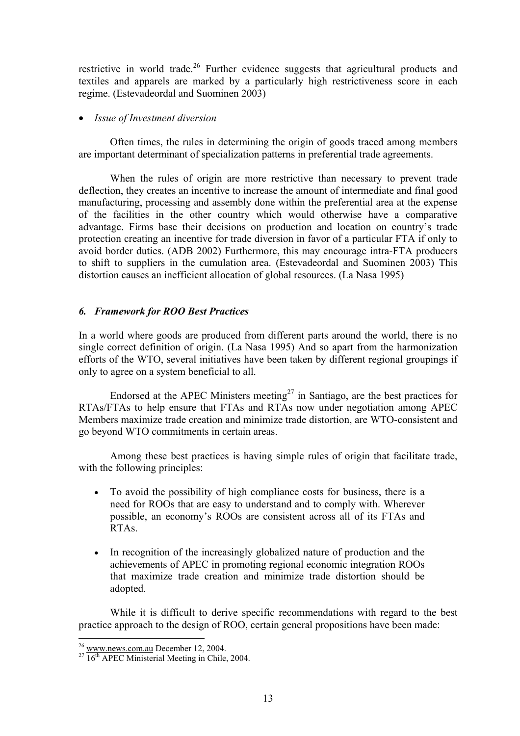restrictive in world trade.<sup>26</sup> Further evidence suggests that agricultural products and textiles and apparels are marked by a particularly high restrictiveness score in each regime. (Estevadeordal and Suominen 2003)

## • *Issue of Investment diversion*

Often times, the rules in determining the origin of goods traced among members are important determinant of specialization patterns in preferential trade agreements.

When the rules of origin are more restrictive than necessary to prevent trade deflection, they creates an incentive to increase the amount of intermediate and final good manufacturing, processing and assembly done within the preferential area at the expense of the facilities in the other country which would otherwise have a comparative advantage. Firms base their decisions on production and location on country's trade protection creating an incentive for trade diversion in favor of a particular FTA if only to avoid border duties. (ADB 2002) Furthermore, this may encourage intra-FTA producers to shift to suppliers in the cumulation area. (Estevadeordal and Suominen 2003) This distortion causes an inefficient allocation of global resources. (La Nasa 1995)

## *6. Framework for ROO Best Practices*

In a world where goods are produced from different parts around the world, there is no single correct definition of origin. (La Nasa 1995) And so apart from the harmonization efforts of the WTO, several initiatives have been taken by different regional groupings if only to agree on a system beneficial to all.

Endorsed at the APEC Ministers meeting<sup>27</sup> in Santiago, are the best practices for RTAs/FTAs to help ensure that FTAs and RTAs now under negotiation among APEC Members maximize trade creation and minimize trade distortion, are WTO-consistent and go beyond WTO commitments in certain areas.

Among these best practices is having simple rules of origin that facilitate trade, with the following principles:

- To avoid the possibility of high compliance costs for business, there is a need for ROOs that are easy to understand and to comply with. Wherever possible, an economy's ROOs are consistent across all of its FTAs and RTAs.
- In recognition of the increasingly globalized nature of production and the achievements of APEC in promoting regional economic integration ROOs that maximize trade creation and minimize trade distortion should be adopted.

While it is difficult to derive specific recommendations with regard to the best practice approach to the design of ROO, certain general propositions have been made:

 $\overline{a}$ 

 $\frac{^{26}}{^{27}}$  www.news.com.au December 12, 2004.<br><sup>27</sup> 16<sup>th</sup> APEC Ministerial Meeting in Chile, 2004.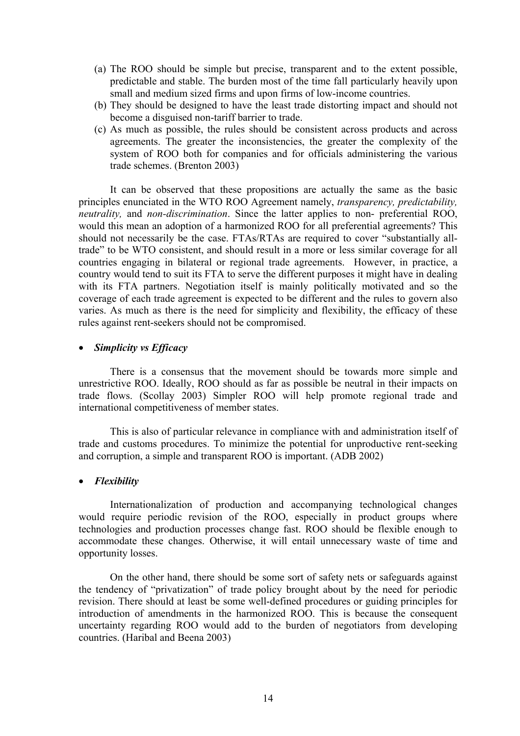- (a) The ROO should be simple but precise, transparent and to the extent possible, predictable and stable. The burden most of the time fall particularly heavily upon small and medium sized firms and upon firms of low-income countries.
- (b) They should be designed to have the least trade distorting impact and should not become a disguised non-tariff barrier to trade.
- (c) As much as possible, the rules should be consistent across products and across agreements. The greater the inconsistencies, the greater the complexity of the system of ROO both for companies and for officials administering the various trade schemes. (Brenton 2003)

It can be observed that these propositions are actually the same as the basic principles enunciated in the WTO ROO Agreement namely, *transparency, predictability, neutrality,* and *non-discrimination*. Since the latter applies to non- preferential ROO, would this mean an adoption of a harmonized ROO for all preferential agreements? This should not necessarily be the case. FTAs/RTAs are required to cover "substantially alltrade" to be WTO consistent, and should result in a more or less similar coverage for all countries engaging in bilateral or regional trade agreements. However, in practice, a country would tend to suit its FTA to serve the different purposes it might have in dealing with its FTA partners. Negotiation itself is mainly politically motivated and so the coverage of each trade agreement is expected to be different and the rules to govern also varies. As much as there is the need for simplicity and flexibility, the efficacy of these rules against rent-seekers should not be compromised.

### • *Simplicity vs Efficacy*

There is a consensus that the movement should be towards more simple and unrestrictive ROO. Ideally, ROO should as far as possible be neutral in their impacts on trade flows. (Scollay 2003) Simpler ROO will help promote regional trade and international competitiveness of member states.

This is also of particular relevance in compliance with and administration itself of trade and customs procedures. To minimize the potential for unproductive rent-seeking and corruption, a simple and transparent ROO is important. (ADB 2002)

#### • *Flexibility*

Internationalization of production and accompanying technological changes would require periodic revision of the ROO, especially in product groups where technologies and production processes change fast. ROO should be flexible enough to accommodate these changes. Otherwise, it will entail unnecessary waste of time and opportunity losses.

On the other hand, there should be some sort of safety nets or safeguards against the tendency of "privatization" of trade policy brought about by the need for periodic revision. There should at least be some well-defined procedures or guiding principles for introduction of amendments in the harmonized ROO. This is because the consequent uncertainty regarding ROO would add to the burden of negotiators from developing countries. (Haribal and Beena 2003)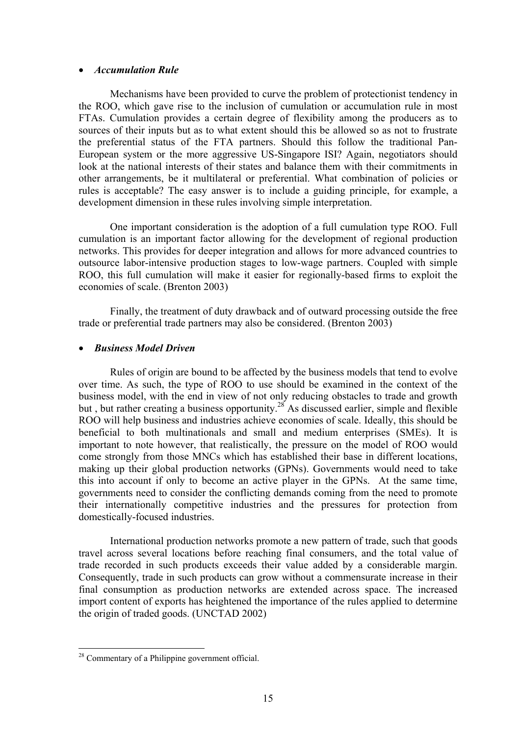## • *Accumulation Rule*

 Mechanisms have been provided to curve the problem of protectionist tendency in the ROO, which gave rise to the inclusion of cumulation or accumulation rule in most FTAs. Cumulation provides a certain degree of flexibility among the producers as to sources of their inputs but as to what extent should this be allowed so as not to frustrate the preferential status of the FTA partners. Should this follow the traditional Pan-European system or the more aggressive US-Singapore ISI? Again, negotiators should look at the national interests of their states and balance them with their commitments in other arrangements, be it multilateral or preferential. What combination of policies or rules is acceptable? The easy answer is to include a guiding principle, for example, a development dimension in these rules involving simple interpretation.

One important consideration is the adoption of a full cumulation type ROO. Full cumulation is an important factor allowing for the development of regional production networks. This provides for deeper integration and allows for more advanced countries to outsource labor-intensive production stages to low-wage partners. Coupled with simple ROO, this full cumulation will make it easier for regionally-based firms to exploit the economies of scale. (Brenton 2003)

Finally, the treatment of duty drawback and of outward processing outside the free trade or preferential trade partners may also be considered. (Brenton 2003)

## • *Business Model Driven*

Rules of origin are bound to be affected by the business models that tend to evolve over time. As such, the type of ROO to use should be examined in the context of the business model, with the end in view of not only reducing obstacles to trade and growth but , but rather creating a business opportunity.<sup>28</sup> As discussed earlier, simple and flexible ROO will help business and industries achieve economies of scale. Ideally, this should be beneficial to both multinationals and small and medium enterprises (SMEs). It is important to note however, that realistically, the pressure on the model of ROO would come strongly from those MNCs which has established their base in different locations, making up their global production networks (GPNs). Governments would need to take this into account if only to become an active player in the GPNs. At the same time, governments need to consider the conflicting demands coming from the need to promote their internationally competitive industries and the pressures for protection from domestically-focused industries.

International production networks promote a new pattern of trade, such that goods travel across several locations before reaching final consumers, and the total value of trade recorded in such products exceeds their value added by a considerable margin. Consequently, trade in such products can grow without a commensurate increase in their final consumption as production networks are extended across space. The increased import content of exports has heightened the importance of the rules applied to determine the origin of traded goods. (UNCTAD 2002)

 $\overline{a}$ 

<sup>&</sup>lt;sup>28</sup> Commentary of a Philippine government official.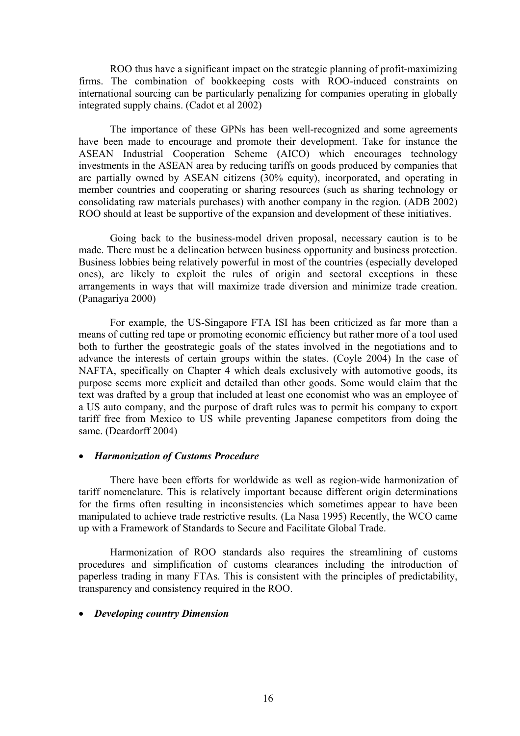ROO thus have a significant impact on the strategic planning of profit-maximizing firms. The combination of bookkeeping costs with ROO-induced constraints on international sourcing can be particularly penalizing for companies operating in globally integrated supply chains. (Cadot et al 2002)

 The importance of these GPNs has been well-recognized and some agreements have been made to encourage and promote their development. Take for instance the ASEAN Industrial Cooperation Scheme (AICO) which encourages technology investments in the ASEAN area by reducing tariffs on goods produced by companies that are partially owned by ASEAN citizens (30% equity), incorporated, and operating in member countries and cooperating or sharing resources (such as sharing technology or consolidating raw materials purchases) with another company in the region. (ADB 2002) ROO should at least be supportive of the expansion and development of these initiatives.

Going back to the business-model driven proposal, necessary caution is to be made. There must be a delineation between business opportunity and business protection. Business lobbies being relatively powerful in most of the countries (especially developed ones), are likely to exploit the rules of origin and sectoral exceptions in these arrangements in ways that will maximize trade diversion and minimize trade creation. (Panagariya 2000)

For example, the US-Singapore FTA ISI has been criticized as far more than a means of cutting red tape or promoting economic efficiency but rather more of a tool used both to further the geostrategic goals of the states involved in the negotiations and to advance the interests of certain groups within the states. (Coyle 2004) In the case of NAFTA, specifically on Chapter 4 which deals exclusively with automotive goods, its purpose seems more explicit and detailed than other goods. Some would claim that the text was drafted by a group that included at least one economist who was an employee of a US auto company, and the purpose of draft rules was to permit his company to export tariff free from Mexico to US while preventing Japanese competitors from doing the same. (Deardorff 2004)

#### • *Harmonization of Customs Procedure*

There have been efforts for worldwide as well as region-wide harmonization of tariff nomenclature. This is relatively important because different origin determinations for the firms often resulting in inconsistencies which sometimes appear to have been manipulated to achieve trade restrictive results. (La Nasa 1995) Recently, the WCO came up with a Framework of Standards to Secure and Facilitate Global Trade.

Harmonization of ROO standards also requires the streamlining of customs procedures and simplification of customs clearances including the introduction of paperless trading in many FTAs. This is consistent with the principles of predictability, transparency and consistency required in the ROO.

#### • *Developing country Dimension*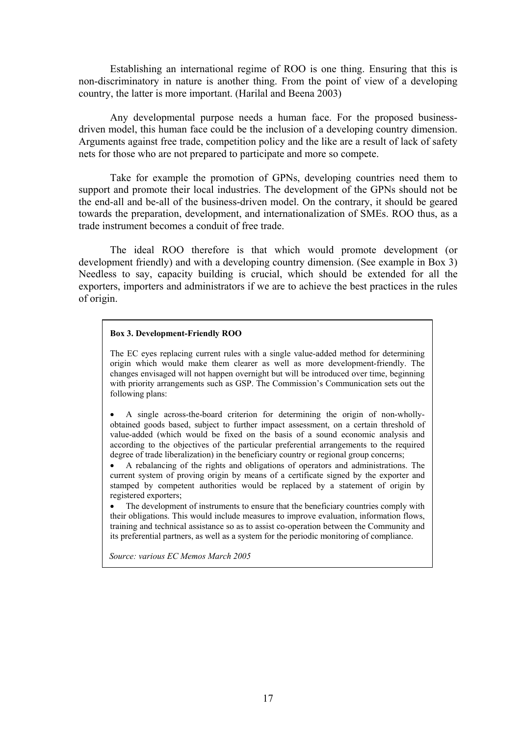Establishing an international regime of ROO is one thing. Ensuring that this is non-discriminatory in nature is another thing. From the point of view of a developing country, the latter is more important. (Harilal and Beena 2003)

Any developmental purpose needs a human face. For the proposed businessdriven model, this human face could be the inclusion of a developing country dimension. Arguments against free trade, competition policy and the like are a result of lack of safety nets for those who are not prepared to participate and more so compete.

Take for example the promotion of GPNs, developing countries need them to support and promote their local industries. The development of the GPNs should not be the end-all and be-all of the business-driven model. On the contrary, it should be geared towards the preparation, development, and internationalization of SMEs. ROO thus, as a trade instrument becomes a conduit of free trade.

 The ideal ROO therefore is that which would promote development (or development friendly) and with a developing country dimension. (See example in Box 3) Needless to say, capacity building is crucial, which should be extended for all the exporters, importers and administrators if we are to achieve the best practices in the rules of origin.

#### **Box 3. Development-Friendly ROO**

The EC eyes replacing current rules with a single value-added method for determining origin which would make them clearer as well as more development-friendly. The changes envisaged will not happen overnight but will be introduced over time, beginning with priority arrangements such as GSP. The Commission's Communication sets out the following plans:

• A single across-the-board criterion for determining the origin of non-whollyobtained goods based, subject to further impact assessment, on a certain threshold of value-added (which would be fixed on the basis of a sound economic analysis and according to the objectives of the particular preferential arrangements to the required degree of trade liberalization) in the beneficiary country or regional group concerns;

• A rebalancing of the rights and obligations of operators and administrations. The current system of proving origin by means of a certificate signed by the exporter and stamped by competent authorities would be replaced by a statement of origin by registered exporters;

• The development of instruments to ensure that the beneficiary countries comply with their obligations. This would include measures to improve evaluation, information flows, training and technical assistance so as to assist co-operation between the Community and its preferential partners, as well as a system for the periodic monitoring of compliance.

 *Source: various EC Memos March 2005*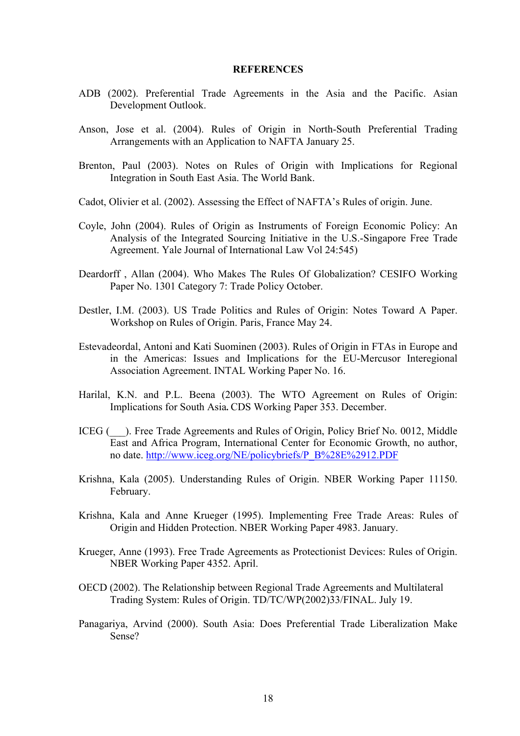#### **REFERENCES**

- ADB (2002). Preferential Trade Agreements in the Asia and the Pacific. Asian Development Outlook.
- Anson, Jose et al. (2004). Rules of Origin in North-South Preferential Trading Arrangements with an Application to NAFTA January 25.
- Brenton, Paul (2003). Notes on Rules of Origin with Implications for Regional Integration in South East Asia. The World Bank.
- Cadot, Olivier et al. (2002). Assessing the Effect of NAFTA's Rules of origin. June.
- Coyle, John (2004). Rules of Origin as Instruments of Foreign Economic Policy: An Analysis of the Integrated Sourcing Initiative in the U.S.-Singapore Free Trade Agreement. Yale Journal of International Law Vol 24:545)
- Deardorff , Allan (2004). Who Makes The Rules Of Globalization? CESIFO Working Paper No. 1301 Category 7: Trade Policy October.
- Destler, I.M. (2003). US Trade Politics and Rules of Origin: Notes Toward A Paper. Workshop on Rules of Origin. Paris, France May 24.
- Estevadeordal, Antoni and Kati Suominen (2003). Rules of Origin in FTAs in Europe and in the Americas: Issues and Implications for the EU-Mercusor Interegional Association Agreement. INTAL Working Paper No. 16.
- Harilal, K.N. and P.L. Beena (2003). The WTO Agreement on Rules of Origin: Implications for South Asia**.** CDS Working Paper 353. December.
- ICEG (\_\_\_). Free Trade Agreements and Rules of Origin, Policy Brief No. 0012, Middle East and Africa Program, International Center for Economic Growth, no author, no date. http://www.iceg.org/NE/policybriefs/P\_B%28E%2912.PDF
- Krishna, Kala (2005). Understanding Rules of Origin. NBER Working Paper 11150. February.
- Krishna, Kala and Anne Krueger (1995). Implementing Free Trade Areas: Rules of Origin and Hidden Protection. NBER Working Paper 4983. January.
- Krueger, Anne (1993). Free Trade Agreements as Protectionist Devices: Rules of Origin. NBER Working Paper 4352. April.
- OECD (2002). The Relationship between Regional Trade Agreements and Multilateral Trading System: Rules of Origin. TD/TC/WP(2002)33/FINAL. July 19.
- Panagariya, Arvind (2000). South Asia: Does Preferential Trade Liberalization Make Sense?